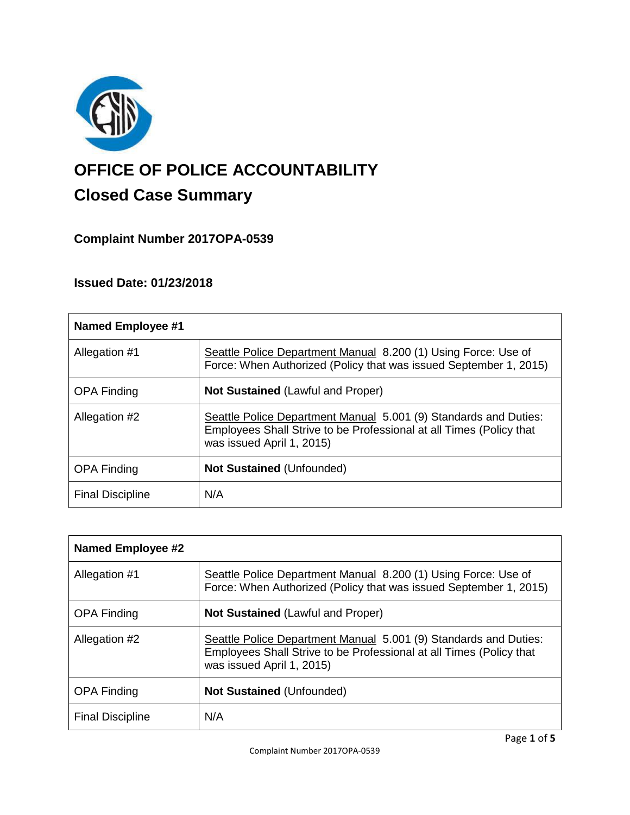

# **OFFICE OF POLICE ACCOUNTABILITY**

# **Closed Case Summary**

## **Complaint Number 2017OPA-0539**

### **Issued Date: 01/23/2018**

| <b>Named Employee #1</b> |                                                                                                                                                                      |
|--------------------------|----------------------------------------------------------------------------------------------------------------------------------------------------------------------|
| Allegation #1            | Seattle Police Department Manual 8.200 (1) Using Force: Use of<br>Force: When Authorized (Policy that was issued September 1, 2015)                                  |
| <b>OPA Finding</b>       | <b>Not Sustained (Lawful and Proper)</b>                                                                                                                             |
| Allegation #2            | Seattle Police Department Manual 5.001 (9) Standards and Duties:<br>Employees Shall Strive to be Professional at all Times (Policy that<br>was issued April 1, 2015) |
| <b>OPA Finding</b>       | <b>Not Sustained (Unfounded)</b>                                                                                                                                     |
| <b>Final Discipline</b>  | N/A                                                                                                                                                                  |

| <b>Named Employee #2</b> |                                                                                                                                                                      |
|--------------------------|----------------------------------------------------------------------------------------------------------------------------------------------------------------------|
| Allegation #1            | Seattle Police Department Manual 8.200 (1) Using Force: Use of<br>Force: When Authorized (Policy that was issued September 1, 2015)                                  |
| <b>OPA Finding</b>       | <b>Not Sustained (Lawful and Proper)</b>                                                                                                                             |
| Allegation #2            | Seattle Police Department Manual 5.001 (9) Standards and Duties:<br>Employees Shall Strive to be Professional at all Times (Policy that<br>was issued April 1, 2015) |
| <b>OPA Finding</b>       | <b>Not Sustained (Unfounded)</b>                                                                                                                                     |
| <b>Final Discipline</b>  | N/A                                                                                                                                                                  |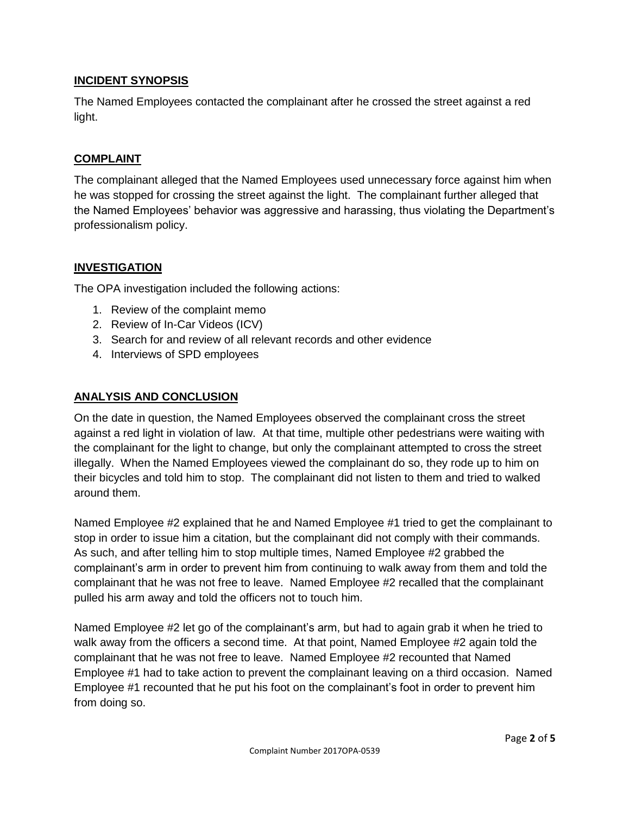#### **INCIDENT SYNOPSIS**

The Named Employees contacted the complainant after he crossed the street against a red light.

#### **COMPLAINT**

The complainant alleged that the Named Employees used unnecessary force against him when he was stopped for crossing the street against the light. The complainant further alleged that the Named Employees' behavior was aggressive and harassing, thus violating the Department's professionalism policy.

#### **INVESTIGATION**

The OPA investigation included the following actions:

- 1. Review of the complaint memo
- 2. Review of In-Car Videos (ICV)
- 3. Search for and review of all relevant records and other evidence
- 4. Interviews of SPD employees

#### **ANALYSIS AND CONCLUSION**

On the date in question, the Named Employees observed the complainant cross the street against a red light in violation of law. At that time, multiple other pedestrians were waiting with the complainant for the light to change, but only the complainant attempted to cross the street illegally. When the Named Employees viewed the complainant do so, they rode up to him on their bicycles and told him to stop. The complainant did not listen to them and tried to walked around them.

Named Employee #2 explained that he and Named Employee #1 tried to get the complainant to stop in order to issue him a citation, but the complainant did not comply with their commands. As such, and after telling him to stop multiple times, Named Employee #2 grabbed the complainant's arm in order to prevent him from continuing to walk away from them and told the complainant that he was not free to leave. Named Employee #2 recalled that the complainant pulled his arm away and told the officers not to touch him.

Named Employee #2 let go of the complainant's arm, but had to again grab it when he tried to walk away from the officers a second time. At that point, Named Employee #2 again told the complainant that he was not free to leave. Named Employee #2 recounted that Named Employee #1 had to take action to prevent the complainant leaving on a third occasion. Named Employee #1 recounted that he put his foot on the complainant's foot in order to prevent him from doing so.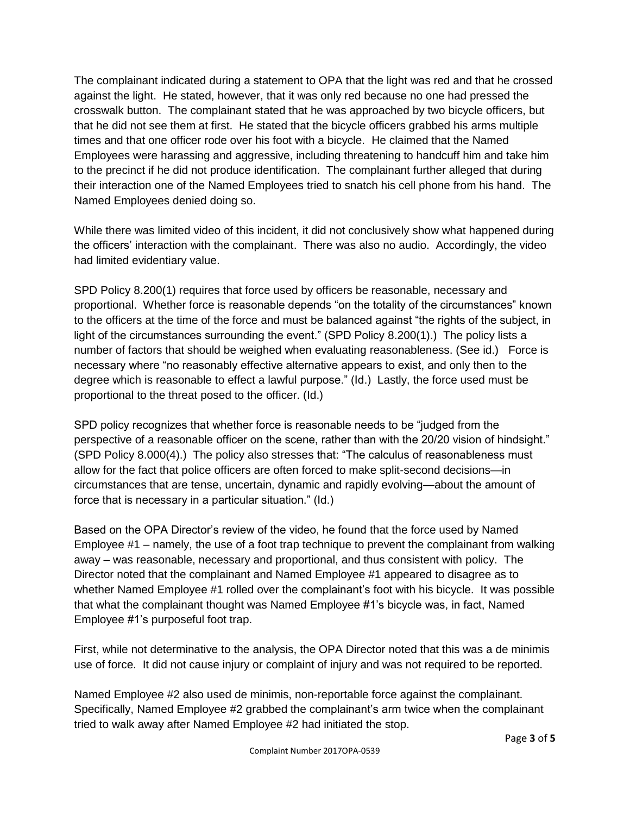The complainant indicated during a statement to OPA that the light was red and that he crossed against the light. He stated, however, that it was only red because no one had pressed the crosswalk button. The complainant stated that he was approached by two bicycle officers, but that he did not see them at first. He stated that the bicycle officers grabbed his arms multiple times and that one officer rode over his foot with a bicycle. He claimed that the Named Employees were harassing and aggressive, including threatening to handcuff him and take him to the precinct if he did not produce identification. The complainant further alleged that during their interaction one of the Named Employees tried to snatch his cell phone from his hand. The Named Employees denied doing so.

While there was limited video of this incident, it did not conclusively show what happened during the officers' interaction with the complainant. There was also no audio. Accordingly, the video had limited evidentiary value.

SPD Policy 8.200(1) requires that force used by officers be reasonable, necessary and proportional. Whether force is reasonable depends "on the totality of the circumstances" known to the officers at the time of the force and must be balanced against "the rights of the subject, in light of the circumstances surrounding the event." (SPD Policy 8.200(1).) The policy lists a number of factors that should be weighed when evaluating reasonableness. (See id.) Force is necessary where "no reasonably effective alternative appears to exist, and only then to the degree which is reasonable to effect a lawful purpose." (Id.) Lastly, the force used must be proportional to the threat posed to the officer. (Id.)

SPD policy recognizes that whether force is reasonable needs to be "judged from the perspective of a reasonable officer on the scene, rather than with the 20/20 vision of hindsight." (SPD Policy 8.000(4).) The policy also stresses that: "The calculus of reasonableness must allow for the fact that police officers are often forced to make split-second decisions—in circumstances that are tense, uncertain, dynamic and rapidly evolving—about the amount of force that is necessary in a particular situation." (Id.)

Based on the OPA Director's review of the video, he found that the force used by Named Employee #1 – namely, the use of a foot trap technique to prevent the complainant from walking away – was reasonable, necessary and proportional, and thus consistent with policy. The Director noted that the complainant and Named Employee #1 appeared to disagree as to whether Named Employee #1 rolled over the complainant's foot with his bicycle. It was possible that what the complainant thought was Named Employee #1's bicycle was, in fact, Named Employee #1's purposeful foot trap.

First, while not determinative to the analysis, the OPA Director noted that this was a de minimis use of force. It did not cause injury or complaint of injury and was not required to be reported.

Named Employee #2 also used de minimis, non-reportable force against the complainant. Specifically, Named Employee #2 grabbed the complainant's arm twice when the complainant tried to walk away after Named Employee #2 had initiated the stop.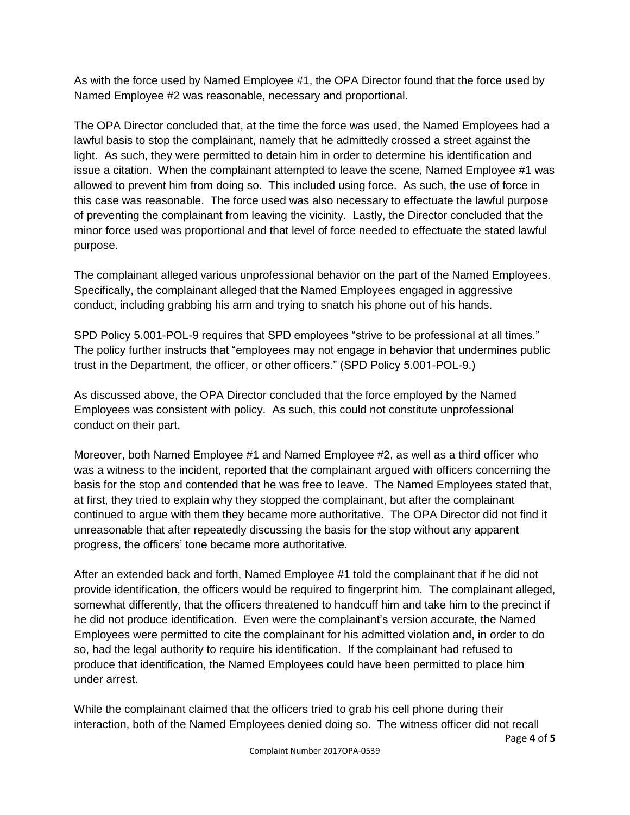As with the force used by Named Employee #1, the OPA Director found that the force used by Named Employee #2 was reasonable, necessary and proportional.

The OPA Director concluded that, at the time the force was used, the Named Employees had a lawful basis to stop the complainant, namely that he admittedly crossed a street against the light. As such, they were permitted to detain him in order to determine his identification and issue a citation. When the complainant attempted to leave the scene, Named Employee #1 was allowed to prevent him from doing so. This included using force. As such, the use of force in this case was reasonable. The force used was also necessary to effectuate the lawful purpose of preventing the complainant from leaving the vicinity. Lastly, the Director concluded that the minor force used was proportional and that level of force needed to effectuate the stated lawful purpose.

The complainant alleged various unprofessional behavior on the part of the Named Employees. Specifically, the complainant alleged that the Named Employees engaged in aggressive conduct, including grabbing his arm and trying to snatch his phone out of his hands.

SPD Policy 5.001-POL-9 requires that SPD employees "strive to be professional at all times." The policy further instructs that "employees may not engage in behavior that undermines public trust in the Department, the officer, or other officers." (SPD Policy 5.001-POL-9.)

As discussed above, the OPA Director concluded that the force employed by the Named Employees was consistent with policy. As such, this could not constitute unprofessional conduct on their part.

Moreover, both Named Employee #1 and Named Employee #2, as well as a third officer who was a witness to the incident, reported that the complainant argued with officers concerning the basis for the stop and contended that he was free to leave. The Named Employees stated that, at first, they tried to explain why they stopped the complainant, but after the complainant continued to argue with them they became more authoritative. The OPA Director did not find it unreasonable that after repeatedly discussing the basis for the stop without any apparent progress, the officers' tone became more authoritative.

After an extended back and forth, Named Employee #1 told the complainant that if he did not provide identification, the officers would be required to fingerprint him. The complainant alleged, somewhat differently, that the officers threatened to handcuff him and take him to the precinct if he did not produce identification. Even were the complainant's version accurate, the Named Employees were permitted to cite the complainant for his admitted violation and, in order to do so, had the legal authority to require his identification. If the complainant had refused to produce that identification, the Named Employees could have been permitted to place him under arrest.

While the complainant claimed that the officers tried to grab his cell phone during their interaction, both of the Named Employees denied doing so. The witness officer did not recall